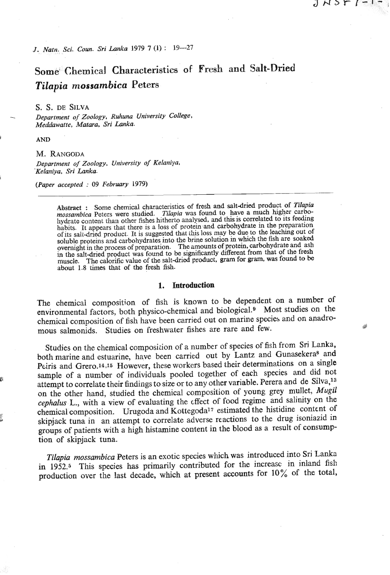*J. Natn. Sci. Cuun. Sri Lanlca* **1979** *7* **(1)** : **19-27** 

# **Some Chemical Characteristics of Fresh and Salt-Dried Tilapia** *mossambica* **Peters**

りいったし

#### **S. S. DE SILVA**

- *Department of Zoology. Ruhuna University College, Meddawarte, Matara. Sri Lnnka.* 

**<sup>I</sup>AND** 

### **M. RANGODA**

*Department of Zoology, University of Kelaniyn, -Kelaniya, Sri Lanka.* 

*(Paper accepted* : **<sup>09</sup>***February* **1979)** 

Abstract : Some chemical characteristics of fresh and saltdried product of *Tilapia mossambica* Peters were studied. *Tilapia* was found to have a much higher carbohydrate content than other fishes hitherto analysed, and this is correlated to its feeding habits. It appears that there is a loss of protein and carbohydrate in the preparation of its salt-dried product. It is suggested that this loss may be due to the leaching out of soluble proteins and carbohydrates into the brine solution in which the fish are soaked oluble proteins and caroolly<br>datas into ... The amounts of protein, carbohydrate and ash<br>the salt-dried product was found to be significantly different from that of the fresh<br>nuscle... The calorific value of the salt-dried

## **1. Introduction**

The chemical composition of fish is known to be dependent on a number of environmental factors, both physico-chemical and biological.\* Most studies on the chemical composition of fish have been carried out on marine species and on anadromous salmonids. Studies on freshwater fishes are rare and few.

Studies on the chemical composition of a numbcr of species of fish from Sri **Lanka,**  both marine and estuarine, have been carried out by **Lantz** and Gunasekeras and Peiris and Grero.<sup>14,15</sup> However, these workers based their determinations on a single sample of a number of individuals pooled together of each species and did not attempt to correlate their findings to size or to any other variable. Perera and de Silva,<sup>13</sup> on the other hand, studied the chemical composition of young grey mullet, *Mugil cephalus* L., with a view of evaluating the cffect of food regime and salinity on the chemical composition. Urugoda and Kottegodal7 estimated the histidine content of skipjack tuna in an attempt to correlate adverse reactions to the drug isoniazid in groups of patients with a high histamine content in the blood as a result of consumption of skipjack tuna.

*Tilapia mossambica* Peters is *an* exotic species which was introduced into Sri Lankn in 1952.5 This species has primarily contributed for the increase in **inland** fish production over the last decade, which at present accounts for 10% of the total,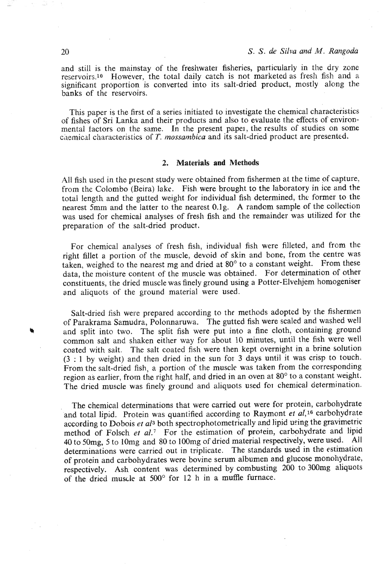and still is the mainstay of the freshwater fisheries, particularly in the dry zone reservoirs.10 However, the total daily catch is not marketed as fresh fish and a significant proportion is converted into its salt-dried product, mostly along the banks of the reservoirs.

This paper is the first of a series initiated to investigate the chemical characteristics of fishes of Sri Lanka and their products and also to evaluate the effects of environmental factors on the same. In the present papei, the results of studies on some chemical characteristics of T. mossambica and its salt-dried product are presented.

## **2. Materials and Methods**

All fish used in the present study were obtained from fishermen at the time of capture, from the Colombo (Beira) lake. Fish were brought to the laboratory in ice and the total length and the gutted weight for individual fish determined, the former to the nearest 5mm and the latter to the nearest O.lg. A random sample of the collection was used for chemical analyses of fresh fish and the remainder was utilized for the preparation of the salt-dried product.

For chemical analyses of fresh fish, individual fish were filleted, and from the right fillet a portion of the muscle, devoid of skin and bone, from the centre was taken, weighed to the nearest mg and dried at 80° to a constant weight. From these data, the moisture content of the muscle was obtained. For determination of other constituents, the dried muscle was finely ground using a Potter-Elvehjem homogeniser and aliquots of the ground material were used.

Salt-dried fish were prepared according to the methods adopted by the fishermen of Parakrama Samudra, Polonnaruwa. The gutted fish were scaled and washed well **4** and split into two. The split fish were put into a fine cloth, containing ground common salt and shaken either way for about 10 minutes, until the fish were well coated with salt. The salt coated fish were then kept overnight in a brine solution **(3** : 1 by weight) and then dried in the sun for **3** days until it was crisp to touch. From the salt-dried fish, a portion of the muscle was taken from the corresponding region as earlier, from the right half, and dried in an oven at 80° to a constant weight. The dried muscle was finely ground and aliquots used for chemical determination.

The chemical determinations that were carried out were for protein, carbohydrate and total lipid. Protein was quantified according to Raymont *et a1,16* carbohydrate according to Dobois et al<sup>3</sup> both spectrophotometrically and lipid using the gravimetric method of Folsch *et al.'* For the estimation of protein, carbohydrate and lipid 40 to 50mg, **5** to lOmg and 80 to lOOmg of dried material respectively, were used. All determinations were carried out in triplicate. The standards used in the estimation of protein and carbohydrates were bovine serum albumen and glucose monohydrate, respectively. Ash content was determined by cornbusting 200 to **300mg** aliquots of the dried muscle at  $500^{\circ}$  for 12 h in a muffle furnace.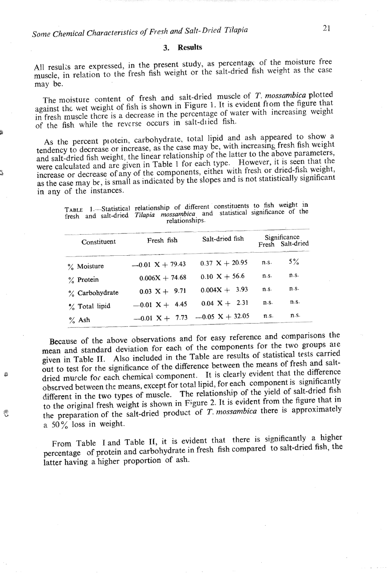## **3. Results**

All results are expressed, in the present study, as percentage of the moisture free results are expressed, in the present study, as percently or the matter of the case scle, in r

The moisture content of fresh and salt-dried muscle of *T. mossambica* plotted against thc wet weight of fish is shown in Figure I. It is evident fiom the figure that  $\frac{1}{2}$  inst the wet weight of  $\frac{1}{2}$  and  $\frac{1}{2}$  is a decreasing in the percentage of water with increasing weight fresh muscle there is a decrease in the percentage of water

As the percent protein, carbohydrate, total lipid and ash appeared to show a tendency to decrease or increase, as the case may be, with increasing fresh fish weight and salt-dried fish weight, the linear relationship of the latter to the above parameters, were calculated and are given in Table 1 for each type. However, it is seen that the increase or decrease of any of the components, eithei with fresh or dried-fish weight, crease or decrease of any of the components, either with right or arct  $\frac{1}{2}$  is  $\frac{1}{2}$  in  $\frac{1}{2}$  indicated by the slopes and is not statistically significant the case may be, is small  $\epsilon$ 

**TABLE 1.-Statistical relationship of different .constituents to fish weight in free 1**—Statistical relationship of different constituents to that weight to esh and salt-dried *Tilapia mossambica* and<br>relationships.

| Constituent    | Fresh fish        | Salt-dried fish         | Significance<br>Fresh Salt-dried |       |  |  |
|----------------|-------------------|-------------------------|----------------------------------|-------|--|--|
| % Moisture     | $-0.01$ X + 79.43 | $0.37 X + 20.95$        | n.S.                             | $5\%$ |  |  |
| $\%$ Protein   | $0.006X + 74.68$  | $0.10 X + 56.6$         | n.s.                             | n.s.  |  |  |
| % Carbohydrate | $0.03 X + 9.71$   | $0.004X + 3.93$         | n.S.                             | n.S.  |  |  |
| % Total lipid  | $-0.01$ X + 4.45  | $0.04 \text{ X} + 2.31$ | n.S.                             | n.S.  |  |  |
| $\%$ Ash       | $-0.01$ X + 7.73  | $-0.05$ X + 32.05       | n.S.                             | n.S.  |  |  |

Because of the above observations and for easy reference and comparisons the **mean** and standard deviation for each of the components for the two groups ale given in Table **11.** Also included in the Table are results of statistical tests carried **5** out to test for the significance of the difference between the means of fresh and saltdried muscle for each chemical component. It is clearly evident that the difference observed between the means, except for total lipid, for each component is significantly different in the two types of muscle. The relationship of the yield of salt-dried fish to the original fresh weight is shown in Figure **2.** It js evident from the figure that in to the original fresh weight is shown in Figure 2. It is evident from the highle that and he preparation of the sa

> From Table I and Table **11,** it is evident that there is significantly a higher From Table 1 and Table  $\overline{p}$ , it is evident that there is  $\overline{p}$  of  $\overline{p}$  is  $\overline{p}$  fish compared to salt-dried fish, the latter have a higher proportion of ash.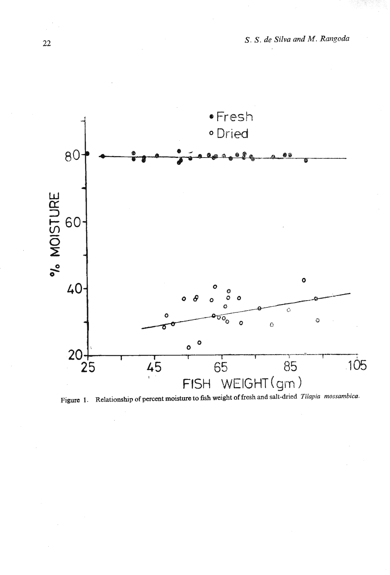

Figure 1. Relationship of percent moisture to fish weight of fresh and salt-dried *Tilapia mossambica*.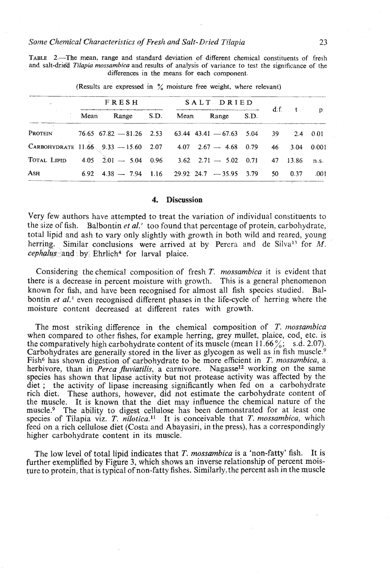**TABLE 2.-The mean, range and standard deviation of different chemical constituents of fresh and salt-dria Tilapia** *mossambica* **and results of analysis of variance to test the significance of the differences in the means for each component.** 

| u.                                                                             | <b>FRESH</b>                                                                      | SALT DRIED      |  |  |          |              |
|--------------------------------------------------------------------------------|-----------------------------------------------------------------------------------|-----------------|--|--|----------|--------------|
|                                                                                | Mean Range S.D.                                                                   | Mean Range S.D. |  |  | $d.f.$ t | $\mathbf{p}$ |
| Protein                                                                        | $76.65$ $67.82$ $-81.26$ $2.53$ $63.44$ $43.41$ $-67.63$ $5.04$ $39$ $2.4$ $0.01$ |                 |  |  |          |              |
| CARBOHYDRATE 11.66 9.33 - 15.60 2.07 4.07 2.67 - 4.68 0.79 46 3.04 0.001       |                                                                                   |                 |  |  |          |              |
| TOTAL LIPID $4.05$ $2.01 - 5.04$ $0.96$ $3.62$ $2.71 - 5.02$ $0.71$ 47 $13.86$ |                                                                                   |                 |  |  |          | n.s.         |
| Ash                                                                            | $6.92$ 4.38 - 7.94 1.16 29.92 24.7 - 35.95 3.79 50 0.37                           |                 |  |  |          | .001         |

**(Results are expressed in** % **moisture free weight, where relevant)** 

### **4. Discussion**

Very few authors have attempted to treat the variation of individual constituents to the size of fish. Balbontin *et al.'* too found that percentage of protein, carbohydrate, total lipid and ash to vary only slightly with growth in both wild and reared, young herring. Similar conclusions were arrived at by Perera and de Silva<sup>13</sup> for *M*. *cephalus* and by Ehrlich4 for larval plaice.

Considering the chemical composition of fresh T. *mossambica* it is evident that there is a decrease in percent moisture with growth. This is a general phenomenon known for fish, and have been recognised for almost all fish species studied. Balbontin *et al.*<sup>1</sup> even recognised different phases in the life-cycle of herring where the moisture content decreased at different rates with growth.

The most striking difference in the chemical composition of T. *tnossambica*  when compared to other fishes, for example herring, grey mullet, plaice, cod, etc. is the comparatively high carbohydrate content of its muscle (mean  $11.66\%$ ; s.d. 2.07). Carbohydrates are generally stored in the liver as glycogen as well as in fish muscle.<sup>9</sup> Fish6 has shown digestion of carbohydrate to be more efficient in T. *mossambica,* a herbivore, than in *Perca fluviatilis*, a carnivore. Nagasse<sup>12</sup> working on the same species has shown that lipase activity but not protease activity was affected by the diet ; the activity of lipase increasing significantly when fed on a carbohydrate rich diet. These authors, however, did not estimate the carbohydrate content of the muscle. It is known that the diet may influence the chemical nature of the muscle.<sup>9</sup> The ability to digest cellulose has been demonstrated for at least one species of Tilapia viz. **T.** *nilotica.ll* It is conceivable that T. *mossambica,* which feed on a rich cellulose diet (Costa and Abayasiri, in the press), has a correspondingly higher carbohydrate content in its muscle.

The low level of total lipid indicates that T. *mossambica* is a 'non-fatty' fish. It is further exemplified by Figure **3,** which shows an inverse relationship of percent moisture to protein, that is typical of non-fatty fishes. Similarly, the percent ash in the muscle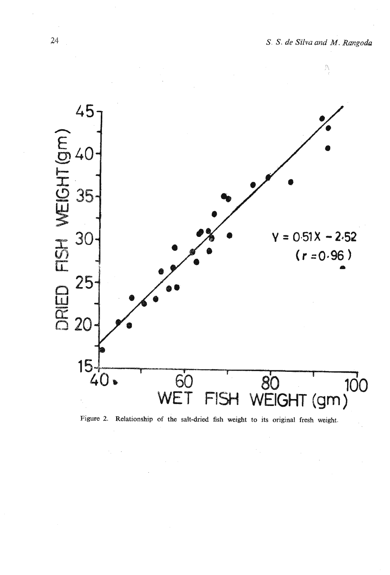$\mathcal{L}$ 



**Figure 2. Relationship of the salt-dried fish weight to its original fresh weight.**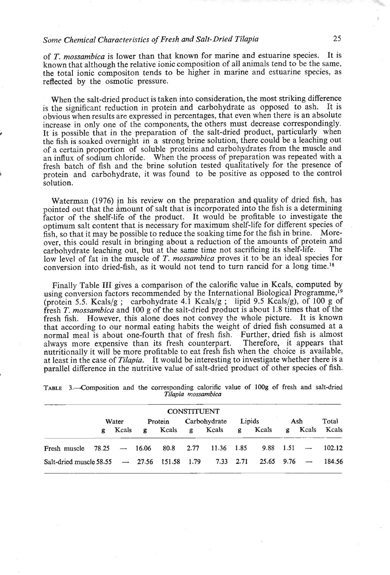## *Some Chemical Characteristics of Fresh and Salt-Dried Tilapia* **25**

of T. *mossambica* is lower than that known for marine and estuarine species. It is known that although the relative ionic composition of all animals tend to be the same, the total ionic cornpositon tends to be higher in marine and estuarine species, as reflected by the osmotic pressure.

When the salt-dried product is taken into consideration, the most striking difference is the significant reduction in protein and carbohydrate as opposed to ash. It is obvious when results are expressed in percentages, that even when there is an absolute increase in only one of the components, the others must decrease correspondingly. It is possible that in the preparation of the salt-dried product, particularly when the fish is soaked overnight in a strong brine solution, there could be a leaching out of a certain proportion of soluble proteins and carbohydrates from the muscle and an influx of sodium chloride. When the process of preparation was repeated with a fresh batch of fish and the brine solution tested qualitatively for the presence of protein and carbohydrate, it was found to be positive as opposed to the control solution.

Waterman (1976) in his review on the preparation and quality of dried fish, has pointed out that the amount of salt that is incorporated into the fish is a determining factor of the shelf-life of the product. It would be profitable to investigate the optimum salt content that is necessary for maximum shelf-life for different species of fish, so that it may be possible to reduce the soaking time for the fish in brine. Moreover, this could result in bringing about a reduction of the amounts of protein and carbohydrate leaching out but at the same time not sacrificing its shelf-life. The carbohydrate leaching out, but at the same time not sacrificing its shelf-life. low level of fat in the muscle of *T. mossambica* proves it to be an ideal species for conversion into dried-fish, as it would not tend to turn rancid for a long time.'s

Finally Table 111 gives a comparison of the calorific value in Kcals, computed by using conversion factors recommended by the International Biological Programme,<sup>19</sup> (protein 5.5. Kcals/g; carbohydrate 4.1 Kcals/g; lipid 9.5 Kcals/g), of 100 g of fresh T. *mossambica* and *100 g* of the salt-dried product is about 1.8 times that of the fresh fish. However, this alone does not convey the whole picture. It is known that according to our normal eating habits the weight of dried fish consumed at a normal meal is about one-fourth that of fresh fish. Further, dried fish is almost always more expensive than its fresh counterpart. Therefore, it appears that always more expensive than its fresh counterpart. nutritionally it will be more profitable to eat fresh fish when the choice is available, at least in the case of *Tilapia.* It would be interesting to investigate whether there is a parallel difference in the nutritive value of salt-dried product of other species of fish.

| <b>CONSTITUENT</b>                                                                                   |       |  |  |  |                      |                                               |            |  |  |  |       |  |
|------------------------------------------------------------------------------------------------------|-------|--|--|--|----------------------|-----------------------------------------------|------------|--|--|--|-------|--|
|                                                                                                      | Water |  |  |  | Protein Carbohydrate |                                               | Lipids Ash |  |  |  | Total |  |
|                                                                                                      |       |  |  |  |                      | g Keals g Keals g Keals g Keals g Keals Keals |            |  |  |  |       |  |
| Fresh muscle $78.25 \rightarrow 16.06$ $80.8$ $2.77$ $11.36$ $1.85$ $9.88$ $1.51 \rightarrow 102.12$ |       |  |  |  |                      |                                               |            |  |  |  |       |  |
| Salt-dried muscle 58.55 - 27.56 151.58 1.79 7.33 2.71 25.65 9.76 - 184.56                            |       |  |  |  |                      |                                               |            |  |  |  |       |  |

| TABLE 3.—Composition and the corresponding calorific value of 100g of fresh and salt-dried |  |                    |  |  |  |  |  |
|--------------------------------------------------------------------------------------------|--|--------------------|--|--|--|--|--|
|                                                                                            |  | Tilapia mossambica |  |  |  |  |  |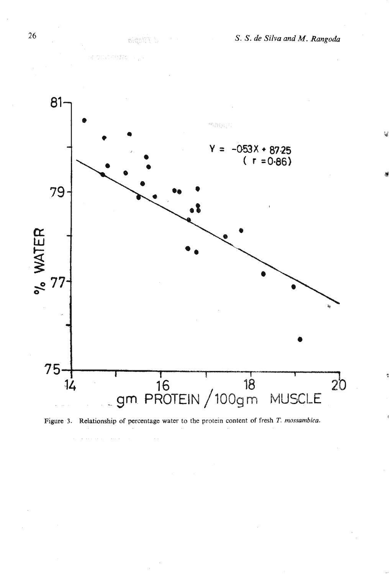

 $d$  Tilapia

a primerintan ().